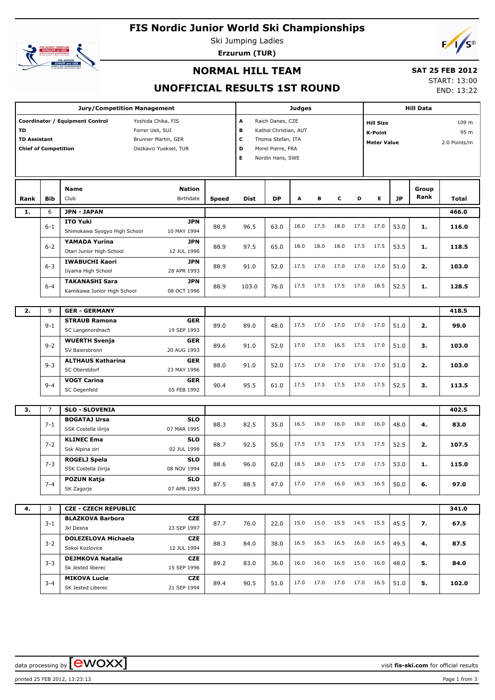# **FIS Nordic Junior World Ski Championships**



Ski Jumping Ladies **Erzurum (TUR)**



### **NORMAL HILL TEAM**

## **SAT 25 FEB 2012**

## **UNOFFICIAL RESULTS 1ST ROUND**

START: 13:00

END: 13:22

|                                                          |                | <b>Jury/Competition Management</b>                                                                                        |              |                       |                                                                                                         | <b>Judges</b> |      |           |      | <b>Hill Data</b>                                  |           |               |                               |  |
|----------------------------------------------------------|----------------|---------------------------------------------------------------------------------------------------------------------------|--------------|-----------------------|---------------------------------------------------------------------------------------------------------|---------------|------|-----------|------|---------------------------------------------------|-----------|---------------|-------------------------------|--|
| TD<br><b>TD Assistant</b><br><b>Chief of Competition</b> |                | Coordinator / Equipment Control<br>Yoshida Chika, FIS<br>Forrer Ueli, SUI<br>Brunner Martin, GER<br>Oezkavci Yueksel, TUR |              | A<br>В<br>c<br>D<br>Е | Raich Danes, CZE<br>Kathol Christian, AUT<br>Thoma Stefan, ITA<br>Morel Pierre, FRA<br>Nordin Hans, SWE |               |      |           |      | <b>Hill Size</b><br>K-Point<br><b>Meter Value</b> |           |               | 109 m<br>95 m<br>2.0 Points/m |  |
| Rank                                                     | Bib            | Name<br><b>Nation</b><br>Club<br>Birthdate                                                                                | <b>Speed</b> | <b>Dist</b>           | DP                                                                                                      | А             | в    | с         | D    | Е                                                 | <b>JP</b> | Group<br>Rank | Total                         |  |
| 1.                                                       | 6              | <b>JPN - JAPAN</b>                                                                                                        |              |                       |                                                                                                         |               |      |           |      |                                                   |           |               | 466.0                         |  |
|                                                          | $6 - 1$        | <b>ITO Yuki</b><br><b>JPN</b><br>Shimokawa Syogyo High School<br>10 MAY 1994                                              | 88.9         | 96.5                  | 63.0                                                                                                    | 18.0          | 17.5 | 18.0      | 17.5 | 17.0                                              | 53.0      | 1.            | 116.0                         |  |
|                                                          | $6 - 2$        | YAMADA Yurina<br><b>JPN</b><br>Otari Junior High School<br>12 JUL 1996                                                    | 88.9         | 97.5                  | 65.0                                                                                                    | 18.0          | 18.0 | 18.0      | 17.5 | 17.5                                              | 53.5      | 1.            | 118.5                         |  |
|                                                          | $6 - 3$        | <b>IWABUCHI Kaori</b><br><b>JPN</b><br>Iiyama High School<br>28 APR 1993                                                  | 88.9         | 91.0                  | 52.0                                                                                                    | 17.5          | 17.0 | 17.0      | 17.0 | 17.0                                              | 51.0      | 2.            | 103.0                         |  |
|                                                          | $6 - 4$        | <b>TAKANASHI Sara</b><br><b>JPN</b><br>Kamikawa Junior High School<br>08 OCT 1996                                         | 88.9         | 103.0                 | 76.0                                                                                                    | 17.5          | 17.5 | 17.5      | 17.0 | 18.5                                              | 52.5      | 1.            | 128.5                         |  |
| 2.                                                       | 9              | <b>GER - GERMANY</b>                                                                                                      |              |                       |                                                                                                         |               |      |           |      |                                                   |           |               | 418.5                         |  |
|                                                          | $9 - 1$        | <b>STRAUB Ramona</b><br><b>GER</b><br>SC Langenordnach<br>19 SEP 1993                                                     | 89.0         | 89.0                  | 48.0                                                                                                    | 17.5          | 17.0 | 17.0      | 17.0 | 17.0                                              | 51.0      | 2.            | 99.0                          |  |
|                                                          | $9 - 2$        | <b>WUERTH Svenja</b><br><b>GER</b><br>20 AUG 1993<br>SV Baiersbronn                                                       | 89.6         | 91.0                  | 52.0                                                                                                    | 17.0          | 17.0 | 16.5      | 17.5 | 17.0                                              | 51.0      | з.            | 103.0                         |  |
|                                                          | $9 - 3$        | <b>ALTHAUS Katharina</b><br><b>GER</b><br>SC Oberstdorf<br>23 MAY 1996                                                    | 88.0         | 91.0                  | 52.0                                                                                                    | 17.5          | 17.0 | 17.0      | 17.0 | 17.0                                              | 51.0      | 2.            | 103.0                         |  |
|                                                          | $9 - 4$        | <b>VOGT Carina</b><br><b>GER</b><br>SC Degenfeld<br>05 FEB 1992                                                           | 90.4         | 95.5                  | 61.0                                                                                                    | 17.5          | 17.5 | 17.5      | 17.0 | 17.5                                              | 52.5      | з.            | 113.5                         |  |
|                                                          |                |                                                                                                                           |              |                       |                                                                                                         |               |      |           |      |                                                   |           |               |                               |  |
| 3.                                                       | $\overline{7}$ | <b>SLO - SLOVENIA</b><br><b>BOGATAJ Ursa</b><br><b>SLO</b>                                                                |              |                       |                                                                                                         |               |      |           |      |                                                   |           |               | 402.5                         |  |
|                                                          | $7 - 1$        | SSK Costella ilirija<br>07 MAR 1995                                                                                       | 88.3         | 82.5                  | 35.0                                                                                                    | 16.5          | 16.0 | 16.0      | 16.0 | 16.0                                              | 48.0      | 4.            | 83.0                          |  |
|                                                          | $7 - 2$        | <b>KLINEC Ema</b><br><b>SLO</b><br>Ssk Alpina ziri<br>02 JUL 1998                                                         | 88.7         | 92.5                  | 55.0                                                                                                    | 17.5          | 17.5 | 17.5      | 17.5 | 17.5                                              | 52.5      | 2.            | 107.5                         |  |
|                                                          | $7 - 3$        | <b>SLO</b><br>ROGELJ Spela<br>08 NOV 1994<br>SSK Costella Ilirija                                                         | 88.6         | 96.0                  | 62.0                                                                                                    | 18.5          | 18.0 | 17.5      | 17.0 | 17.5                                              | 53.0      | 1.            | 115.0                         |  |
|                                                          | $7 - 4$        | POZUN Katja<br><b>SLO</b><br>07 APR 1993<br>SK Zagorje                                                                    | 87.5         | 88.5                  | 47.0                                                                                                    | 17.0          |      | 17.0 16.0 |      | 16.5 16.5                                         | 50.0      | 6.            | 97.0                          |  |
| 4.                                                       | 3              | <b>CZE - CZECH REPUBLIC</b>                                                                                               |              |                       |                                                                                                         |               |      |           |      |                                                   |           |               | 341.0                         |  |
|                                                          | $3 - 1$        | <b>BLAZKOVA Barbora</b><br><b>CZE</b><br>Jkl Desna<br>23 SEP 1997                                                         | 87.7         | 76.0                  | 22.0                                                                                                    | 15.0          |      |           |      | 15.0 15.5 14.5 15.5                               | 45.5      | 7.            | 67.5                          |  |
|                                                          | $3 - 2$        | <b>DOLEZELOVA Michaela</b><br>CZE<br>Sokol Kozlovice<br>12 JUL 1994                                                       | 88.3         | 84.0                  | 38.0                                                                                                    | 16.5          | 16.5 | 16.5      |      | 16.0 16.5                                         | 49.5      | 4.            | 87.5                          |  |
|                                                          | $3 - 3$        | <b>DEJMKOVA Natalie</b><br>CZE<br>Sk Jested liberec<br>15 SEP 1996                                                        | 89.2         | 83.0                  | 36.0                                                                                                    | 16.0          | 16.0 | 16.5      |      | 15.0 16.0                                         | 48.0      | 5.            | 84.0                          |  |
|                                                          | 3-4            | <b>MIKOVA Lucie</b><br>CZE<br>SK Jested Liberec<br>21 SEP 1994                                                            | 89.4         | 90.5                  | 51.0                                                                                                    | 17.0          |      |           |      | 17.0 17.0 17.0 16.5                               | 51.0      | 5.            | 102.0                         |  |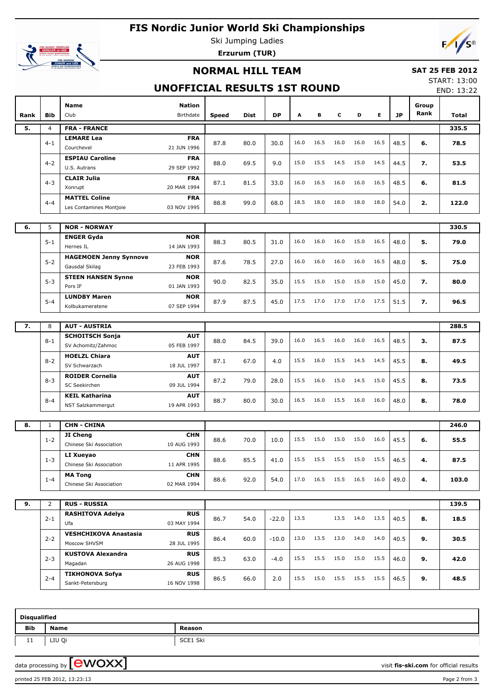## **FIS Nordic Junior World Ski Championships**



Ski Jumping Ladies **Erzurum (TUR)**

# **NORMAL HILL TEAM**

#### **SAT 25 FEB 2012**

## **UNOFFICIAL RESULTS 1ST ROUND**

START: 13:00 END: 13:22

| Rank | Bib            | Name<br><b>Nation</b><br>Club<br>Birthdate                                   | Speed | <b>Dist</b> | <b>DP</b> | Α    | в    | c         | D    | Е    | JP   | Group<br>Rank | Total |
|------|----------------|------------------------------------------------------------------------------|-------|-------------|-----------|------|------|-----------|------|------|------|---------------|-------|
| 5.   | $\overline{4}$ | <b>FRA - FRANCE</b>                                                          |       |             |           |      |      |           |      |      |      |               | 335.5 |
|      | $4 - 1$        | <b>LEMARE Lea</b><br><b>FRA</b><br>21 JUN 1996<br>Courchevel                 | 87.8  | 80.0        | 30.0      | 16.0 | 16.5 | 16.0      | 16.0 | 16.5 | 48.5 | 6.            | 78.5  |
|      | $4 - 2$        | <b>ESPIAU Caroline</b><br><b>FRA</b><br>29 SEP 1992<br>U.S. Autrans          | 88.0  | 69.5        | 9.0       | 15.0 | 15.5 | 14.5      | 15.0 | 14.5 | 44.5 | 7.            | 53.5  |
|      | $4 - 3$        | <b>CLAIR Julia</b><br><b>FRA</b><br>20 MAR 1994<br>Xonrupt                   | 87.1  | 81.5        | 33.0      | 16.0 | 16.5 | 16.0      | 16.0 | 16.5 | 48.5 | 6.            | 81.5  |
|      | $4 - 4$        | <b>MATTEL Coline</b><br><b>FRA</b><br>03 NOV 1995<br>Les Contamines Montjoie | 88.8  | 99.0        | 68.0      | 18.5 | 18.0 | 18.0      | 18.0 | 18.0 | 54.0 | 2.            | 122.0 |
|      |                |                                                                              |       |             |           |      |      |           |      |      |      |               |       |
| 6.   | 5              | <b>NOR - NORWAY</b>                                                          |       |             |           |      |      |           |      |      |      |               | 330.5 |
|      | $5 - 1$        | <b>NOR</b><br><b>ENGER Gyda</b><br>14 JAN 1993<br>Hernes IL                  | 88.3  | 80.5        | 31.0      | 16.0 | 16.0 | 16.0      | 15.0 | 16.5 | 48.0 | 5.            | 79.0  |
|      | $5 - 2$        | <b>NOR</b><br><b>HAGEMOEN Jenny Synnove</b><br>23 FEB 1993<br>Gausdal Skilag | 87.6  | 78.5        | 27.0      | 16.0 | 16.0 | 16.0      | 16.0 | 16.5 | 48.0 | 5.            | 75.0  |
|      | $5 - 3$        | <b>STEEN HANSEN Synne</b><br><b>NOR</b><br>Pors IF<br>01 JAN 1993            | 90.0  | 82.5        | 35.0      | 15.5 | 15.0 | 15.0      | 15.0 | 15.0 | 45.0 | 7.            | 80.0  |
|      | $5 - 4$        | <b>LUNDBY Maren</b><br><b>NOR</b><br>07 SEP 1994<br>Kolbukameratene          | 87.9  | 87.5        | 45.0      | 17.5 | 17.0 | 17.0      | 17.0 | 17.5 | 51.5 | 7.            | 96.5  |
|      |                |                                                                              |       |             |           |      |      |           |      |      |      |               |       |
| 7.   | 8              | <b>AUT - AUSTRIA</b>                                                         |       |             |           |      |      |           |      |      |      |               | 288.5 |
|      | $8 - 1$        | <b>SCHOITSCH Sonja</b><br><b>AUT</b><br>SV Achomitz/Zahmoc<br>05 FEB 1997    | 88.0  | 84.5        | 39.0      | 16.0 | 16.5 | 16.0      | 16.0 | 16.5 | 48.5 | з.            | 87.5  |
|      | $8 - 2$        | <b>HOELZL Chiara</b><br><b>AUT</b><br>SV Schwarzach<br>18 JUL 1997           | 87.1  | 67.0        | 4.0       | 15.5 | 16.0 | 15.5      | 14.5 | 14.5 | 45.5 | 8.            | 49.5  |
|      | $8 - 3$        | <b>ROIDER Cornelia</b><br><b>AUT</b><br>SC Seekirchen<br>09 JUL 1994         | 87.2  | 79.0        | 28.0      | 15.5 | 16.0 | 15.0      | 14.5 | 15.0 | 45.5 | 8.            | 73.5  |
|      | $8 - 4$        | <b>KEIL Katharina</b><br><b>AUT</b><br>NST Salzkammergut<br>19 APR 1993      | 88.7  | 80.0        | 30.0      | 16.5 | 16.0 | 15.5      | 16.0 | 16.0 | 48.0 | 8.            | 78.0  |
|      |                |                                                                              |       |             |           |      |      |           |      |      |      |               |       |
| 8.   | $\mathbf{1}$   | <b>CHN - CHINA</b>                                                           |       |             |           |      |      |           |      |      |      |               | 246.0 |
|      | $1 - 2$        | JI Cheng<br><b>CHN</b><br>Chinese Ski Association<br>10 AUG 1993             | 88.6  | 70.0        | 10.0      | 15.5 | 15.0 | 15.0      | 15.0 | 16.0 | 45.5 | 6.            | 55.5  |
|      | $1 - 3$        | <b>CHN</b><br>LI Xueyao<br>11 APR 1995<br>Chinese Ski Association            | 88.6  | 85.5        | 41.0      | 15.5 | 15.5 | 15.5      | 15.0 | 15.5 | 46.5 | 4.            | 87.5  |
|      | $1 - 4$        | <b>MA Tong</b><br><b>CHN</b><br>Chinese Ski Association<br>02 MAR 1994       | 88.6  | 92.0        | 54.0      | 17.0 | 16.5 | 15.5 16.5 |      | 16.0 | 49.0 | 4.            | 103.0 |
|      |                |                                                                              |       |             |           |      |      |           |      |      |      |               |       |
| 9.   | $\overline{2}$ | <b>RUS - RUSSIA</b>                                                          |       |             |           |      |      |           |      |      |      |               | 139.5 |
|      | $2 - 1$        | <b>RUS</b><br><b>RASHITOVA Adelya</b><br>Ufa<br>03 MAY 1994                  | 86.7  | 54.0        | $-22.0$   | 13.5 |      | 13.5      | 14.0 | 13.5 | 40.5 | 8.            | 18.5  |
|      | $2 - 2$        | <b>VESHCHIKOVA Anastasia</b><br><b>RUS</b><br>Moscow SHVSM<br>28 JUL 1995    | 86.4  | 60.0        | $-10.0$   | 13.0 | 13.5 | 13.0      | 14.0 | 14.0 | 40.5 | 9.            | 30.5  |
|      | $2 - 3$        | <b>KUSTOVA Alexandra</b><br><b>RUS</b><br>Magadan<br>26 AUG 1998             | 85.3  | 63.0        | $-4.0$    | 15.5 | 15.5 | 15.0      | 15.0 | 15.5 | 46.0 | 9.            | 42.0  |
|      | $2 - 4$        | <b>TIKHONOVA Sofya</b><br><b>RUS</b><br>Sankt-Petersburg<br>16 NOV 1998      | 86.5  | 66.0        | 2.0       | 15.5 | 15.0 | 15.5 15.5 |      | 15.5 | 46.5 | 9.            | 48.5  |

| <b>Disqualified</b> |             |                              |  |  |  |  |  |  |  |  |
|---------------------|-------------|------------------------------|--|--|--|--|--|--|--|--|
| Bib                 | <b>Name</b> | Reason                       |  |  |  |  |  |  |  |  |
| <b>++</b>           | LIU Qi      | Ski<br>$\sim$<br><b>SCET</b> |  |  |  |  |  |  |  |  |

data processing by **CWOXX**  $\blacksquare$  and  $\blacksquare$  and  $\blacksquare$  and  $\blacksquare$  and  $\blacksquare$  and  $\blacksquare$  and  $\blacksquare$  and  $\blacksquare$  and  $\blacksquare$  and  $\blacksquare$  and  $\blacksquare$  and  $\blacksquare$  and  $\blacksquare$  and  $\blacksquare$  and  $\blacksquare$  and  $\blacksquare$  and  $\blacksquare$  and  $\blacksquare$  a

printed 25 FEB 2012, 13:23:13 Page 2 from 3